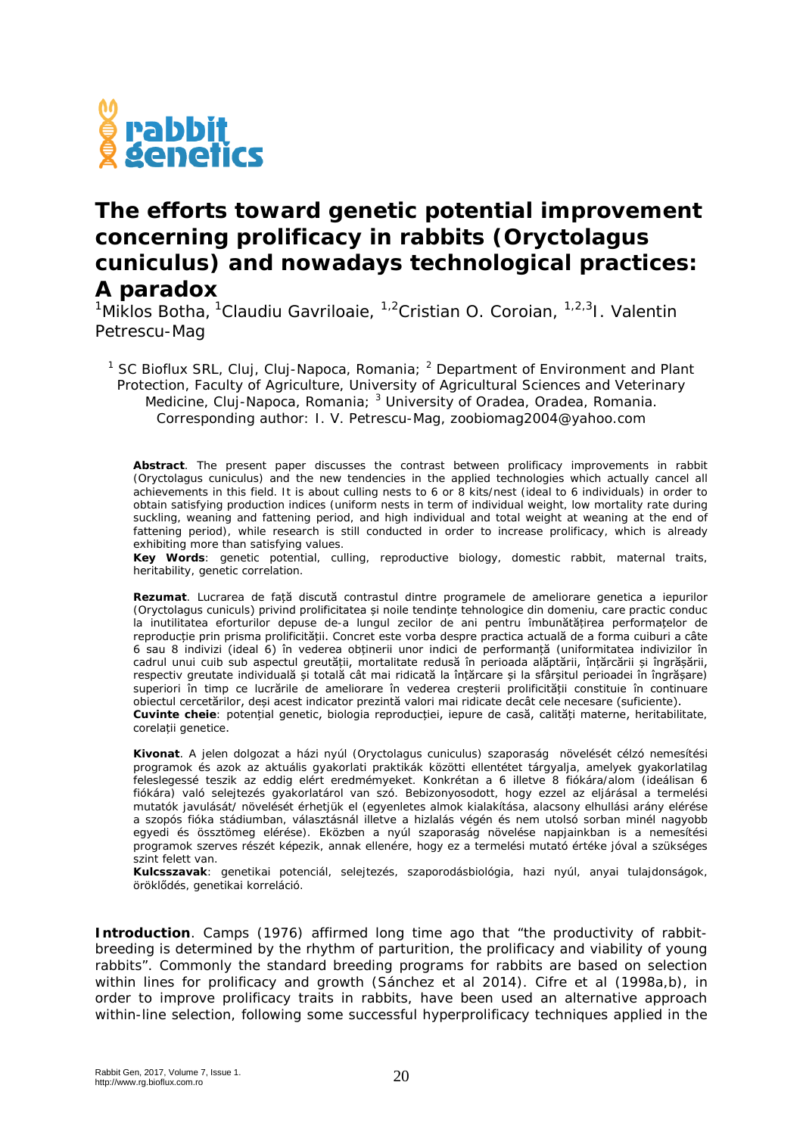## w<br>● rabbit<br><u>●</u> genetics

## **The efforts toward genetic potential improvement concerning prolificacy in rabbits (***Oryctolagus cuniculus***) and nowadays technological practices: A paradox**

<sup>1</sup>Miklos Botha, <sup>1</sup>Claudiu Gavriloaie, <sup>1,2</sup>Cristian O. Coroian, <sup>1,2,3</sup>I. Valentin Petrescu-Mag

<sup>1</sup> SC Bioflux SRL, Cluj, Cluj-Napoca, Romania;  $^2$  Department of Environment and Plant Protection, Faculty of Agriculture, University of Agricultural Sciences and Veterinary Medicine, Cluj-Napoca, Romania; <sup>3</sup> University of Oradea, Oradea, Romania. Corresponding author: I. V. Petrescu-Mag, zoobiomag2004@yahoo.com

**Abstract**. The present paper discusses the contrast between prolificacy improvements in rabbit (*Oryctolagus cuniculus*) and the new tendencies in the applied technologies which actually cancel all achievements in this field. It is about culling nests to 6 or 8 kits/nest (ideal to 6 individuals) in order to obtain satisfying production indices (uniform nests in term of individual weight, low mortality rate during suckling, weaning and fattening period, and high individual and total weight at weaning at the end of fattening period), while research is still conducted in order to increase prolificacy, which is already exhibiting more than satisfying values.

**Key Words**: genetic potential, culling, reproductive biology, domestic rabbit, maternal traits, heritability, genetic correlation.

**Rezumat**. Lucrarea de față discută contrastul dintre programele de ameliorare genetica a iepurilor (*Oryctolagus cuniculs*) privind prolificitatea și noile tendințe tehnologice din domeniu, care practic conduc la inutilitatea eforturilor depuse de-a lungul zecilor de ani pentru îmbunătățirea performațelor de reproducție prin prisma prolificității. Concret este vorba despre practica actuală de a forma cuiburi a câte 6 sau 8 indivizi (ideal 6) în vederea obținerii unor indici de performanță (uniformitatea indivizilor în cadrul unui cuib sub aspectul greutății, mortalitate redusă în perioada alăptării, înțărcării și îngrășării, respectiv greutate individuală și totală cât mai ridicată la înțărcare și la sfârșitul perioadei în îngrășare) superiori în timp ce lucrările de ameliorare în vederea creșterii prolificității constituie în continuare obiectul cercetărilor, deși acest indicator prezintă valori mai ridicate decât cele necesare (suficiente). **Cuvinte cheie**: potențial genetic, biologia reproducției, iepure de casă, calități materne, heritabilitate, corelații genetice.

**Kivonat**. A jelen dolgozat a házi nyúl (*Oryctolagus cuniculus*) szaporaság növelését célzó nemesítési programok és azok az aktuális gyakorlati praktikák közötti ellentétet tárgyalja, amelyek gyakorlatilag feleslegessé teszik az eddig elért eredmémyeket. Konkrétan a 6 illetve 8 fiókára/alom (ideálisan 6 fiókára) való selejtezés gyakorlatárol van szó. Bebizonyosodott, hogy ezzel az eljárásal a termelési mutatók javulását/ növelését érhetjük el (egyenletes almok kialakítása, alacsony elhullási arány elérése a szopós fióka stádiumban, választásnál illetve a hizlalás végén és nem utolsó sorban minél nagyobb egyedi és össztömeg elérése). Eközben a nyúl szaporaság növelése napjainkban is a nemesítési programok szerves részét képezik, annak ellenére, hogy ez a termelési mutató értéke jóval a szükséges szint felett van.

**Kulcsszavak**: genetikai potenciál, selejtezés, szaporodásbiológia, hazi nyúl, anyai tulajdonságok, öröklődés, genetikai korreláció.

**Introduction**. Camps (1976) affirmed long time ago that "the productivity of rabbitbreeding is determined by the rhythm of parturition, the prolificacy and viability of young rabbits". Commonly the standard breeding programs for rabbits are based on selection within lines for prolificacy and growth (Sánchez et al 2014). Cifre et al (1998a,b), in order to improve prolificacy traits in rabbits, have been used an alternative approach within-line selection, following some successful hyperprolificacy techniques applied in the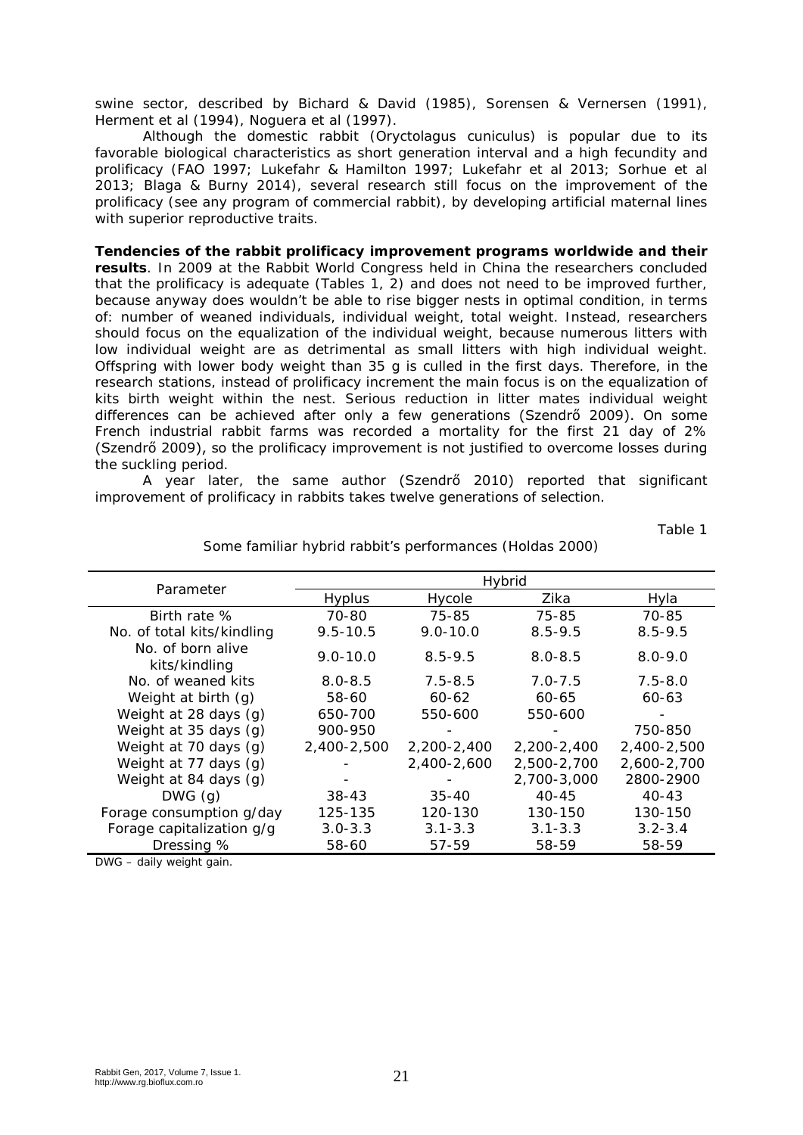swine sector, described by Bichard & David (1985), Sorensen & Vernersen (1991), Herment et al (1994), Noguera et al (1997).

Although the domestic rabbit (*Oryctolagus cuniculus*) is popular due to its favorable biological characteristics as short generation interval and a high fecundity and prolificacy (FAO 1997; Lukefahr & Hamilton 1997; Lukefahr et al 2013; Sorhue et al 2013; Blaga & Burny 2014), several research still focus on the improvement of the prolificacy (see any program of commercial rabbit), by developing artificial maternal lines with superior reproductive traits.

**Tendencies of the rabbit prolificacy improvement programs worldwide and their results**. In 2009 at the Rabbit World Congress held in China the researchers concluded that the prolificacy is adequate (Tables 1, 2) and does not need to be improved further, because anyway does wouldn't be able to rise bigger nests in optimal condition, in terms of: number of weaned individuals, individual weight, total weight. Instead, researchers should focus on the equalization of the individual weight, because numerous litters with low individual weight are as detrimental as small litters with high individual weight. Offspring with lower body weight than 35 g is culled in the first days. Therefore, in the research stations, instead of prolificacy increment the main focus is on the equalization of kits birth weight within the nest. Serious reduction in litter mates individual weight differences can be achieved after only a few generations (Szendrő 2009). On some French industrial rabbit farms was recorded a mortality for the first 21 day of 2% (Szendrő 2009), so the prolificacy improvement is not justified to overcome losses during the suckling period.

A year later, the same author (Szendrő 2010) reported that significant improvement of prolificacy in rabbits takes twelve generations of selection.

Table 1

|                                    | Hybrid        |              |             |             |
|------------------------------------|---------------|--------------|-------------|-------------|
| Parameter                          | <b>Hyplus</b> | Hycole       | Zika        | Hyla        |
| Birth rate %                       | 70-80         | 75-85        | 75-85       | 70-85       |
| No. of total kits/kindling         | $9.5 - 10.5$  | $9.0 - 10.0$ | $8.5 - 9.5$ | $8.5 - 9.5$ |
| No. of born alive<br>kits/kindling | $9.0 - 10.0$  | $8.5 - 9.5$  | $8.0 - 8.5$ | $8.0 - 9.0$ |
| No. of weaned kits                 | $8.0 - 8.5$   | $7.5 - 8.5$  | $7.0 - 7.5$ | $7.5 - 8.0$ |
| Weight at birth (g)                | 58-60         | $60 - 62$    | 60-65       | $60 - 63$   |
| Weight at 28 days (g)              | 650-700       | 550-600      | 550-600     |             |
| Weight at 35 days (g)              | 900-950       |              |             | 750-850     |
| Weight at 70 days (g)              | 2,400-2,500   | 2,200-2,400  | 2,200-2,400 | 2,400-2,500 |
| Weight at 77 days (g)              |               | 2,400-2,600  | 2,500-2,700 | 2,600-2,700 |
| Weight at 84 days (g)              |               |              | 2,700-3,000 | 2800-2900   |
| DWG(q)                             | $38 - 43$     | $35 - 40$    | 40-45       | $40 - 43$   |
| Forage consumption g/day           | 125-135       | 120-130      | 130-150     | 130-150     |
| Forage capitalization g/g          | $3.0 - 3.3$   | $3.1 - 3.3$  | $3.1 - 3.3$ | $3.2 - 3.4$ |
| Dressing %                         | 58-60         | 57-59        | 58-59       | 58-59       |

Some familiar hybrid rabbit's performances (Holdas 2000)

DWG – daily weight gain.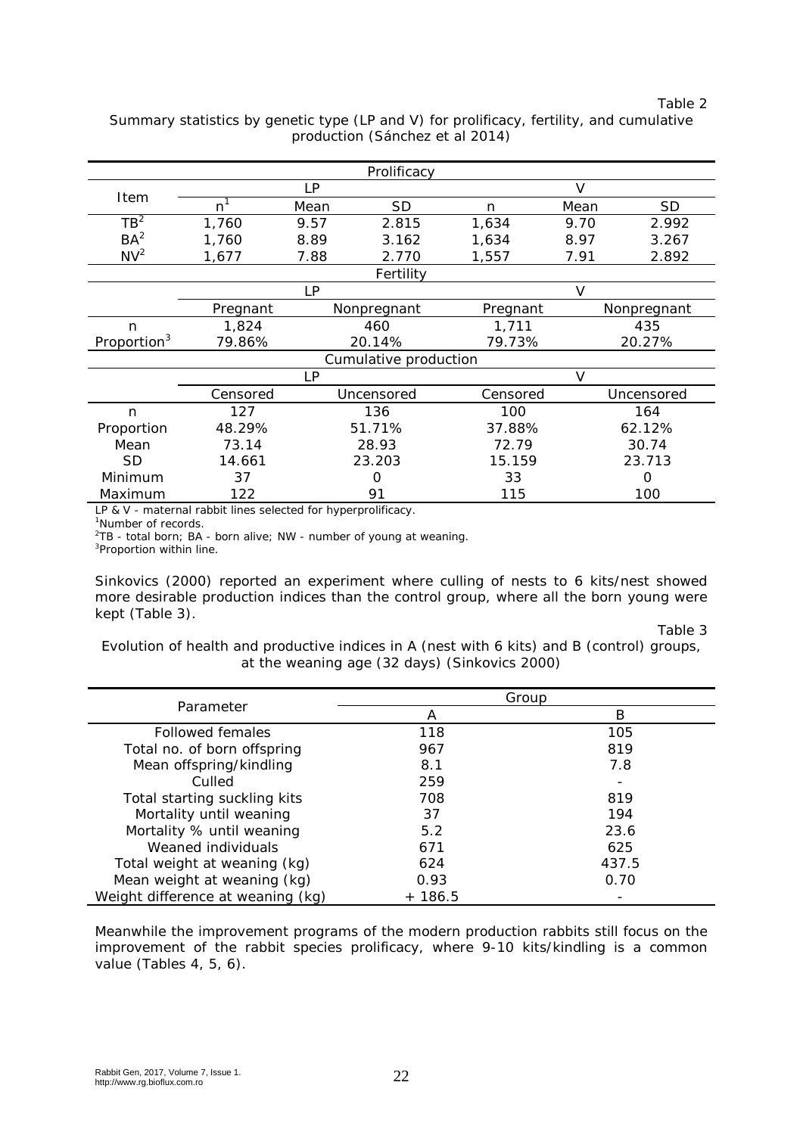Table 2

Summary statistics by genetic type (LP and V) for prolificacy, fertility, and cumulative production (Sánchez et al 2014)

| Prolificacy             |                    |           |             |          |        |             |  |
|-------------------------|--------------------|-----------|-------------|----------|--------|-------------|--|
|                         |                    | LP        |             |          | V      |             |  |
| <b>Item</b>             | n <sup>1</sup>     | Mean      | SD          | n        | Mean   | SD          |  |
| $TB^2$                  | 1,760              | 9.57      | 2.815       | 1,634    | 9.70   | 2.992       |  |
| BA <sup>2</sup>         | 1,760              | 8.89      | 3.162       | 1,634    | 8.97   | 3.267       |  |
| N <sup>2</sup>          | 1,677              | 7.88      | 2.770       | 1,557    | 7.91   | 2.892       |  |
|                         |                    |           | Fertility   |          |        |             |  |
|                         |                    | <b>LP</b> |             |          | $\vee$ |             |  |
|                         | Pregnant           |           | Nonpregnant | Pregnant |        | Nonpregnant |  |
| n                       | 1,824              |           | 460         | 1,711    |        | 435         |  |
| Proportion <sup>3</sup> | 79.86%             |           | 20.14%      | 79.73%   |        | 20.27%      |  |
| Cumulative production   |                    |           |             |          |        |             |  |
|                         | $\mathsf{V}$<br>LP |           |             |          |        |             |  |
|                         | Censored           |           | Uncensored  | Censored |        | Uncensored  |  |
| n                       | 127                |           | 136         | 100      |        | 164         |  |
| Proportion              | 48.29%             |           | 51.71%      | 37.88%   |        | 62.12%      |  |
| Mean                    | 73.14              |           | 28.93       | 72.79    |        | 30.74       |  |
| <b>SD</b>               | 14.661             |           | 23.203      | 15.159   |        | 23.713      |  |
| Minimum                 | 37                 |           | $\Omega$    | 33       |        | O           |  |
| Maximum                 | 122                |           | 91          | 115      |        | 100         |  |

LP & V - maternal rabbit lines selected for hyperprolificacy.

1 Number of records.

<sup>2</sup>TB - total born; BA - born alive; NW - number of young at weaning.<br><sup>3</sup>Propertion within line

<sup>3</sup>Proportion within line.

Sinkovics (2000) reported an experiment where culling of nests to 6 kits/nest showed more desirable production indices than the control group, where all the born young were kept (Table 3).

Table 3

Evolution of health and productive indices in A (nest with 6 kits) and B (control) groups, at the weaning age (32 days) (Sinkovics 2000)

|                                   |          | Group |
|-----------------------------------|----------|-------|
| Parameter                         | А        | В     |
| Followed females                  | 118      | 105   |
| Total no. of born offspring       | 967      | 819   |
| Mean offspring/kindling           | 8.1      | 7.8   |
| Culled                            | 259      |       |
| Total starting suckling kits      | 708      | 819   |
| Mortality until weaning           | 37       | 194   |
| Mortality % until weaning         | 5.2      | 23.6  |
| Weaned individuals                | 671      | 625   |
| Total weight at weaning (kg)      | 624      | 437.5 |
| Mean weight at weaning (kg)       | 0.93     | 0.70  |
| Weight difference at weaning (kg) | $+186.5$ |       |

Meanwhile the improvement programs of the modern production rabbits still focus on the improvement of the rabbit species prolificacy, where 9-10 kits/kindling is a common value (Tables 4, 5, 6).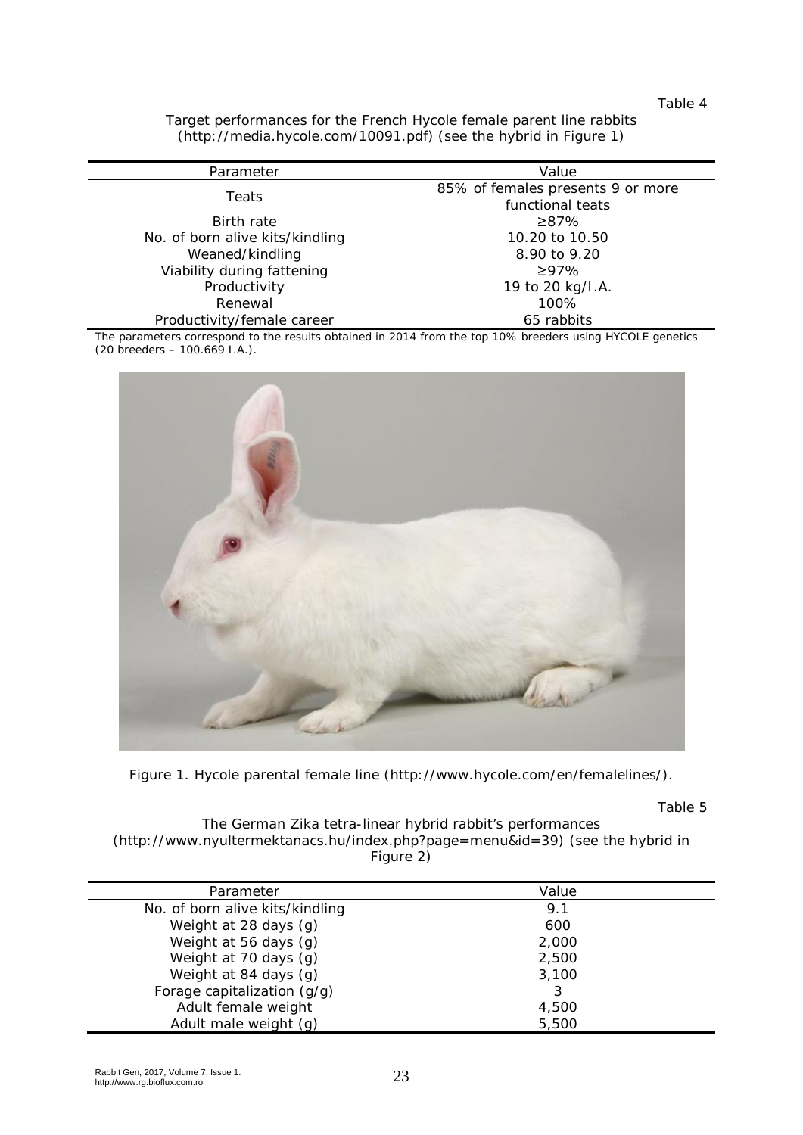Table 4

Target performances for the French Hycole female parent line rabbits (http://media.hycole.com/10091.pdf) (see the hybrid in Figure 1)

| Parameter                       | Value                                                 |  |
|---------------------------------|-------------------------------------------------------|--|
| Teats                           | 85% of females presents 9 or more<br>functional teats |  |
| <b>Birth rate</b>               | $\geq 87\%$                                           |  |
| No. of born alive kits/kindling | 10.20 to 10.50                                        |  |
| Weaned/kindling                 | 8.90 to 9.20                                          |  |
| Viability during fattening      | >97%                                                  |  |
| Productivity                    | 19 to 20 kg/I.A.                                      |  |
| Renewal                         | 100%                                                  |  |
| Productivity/female career      | 65 rabbits                                            |  |

The parameters correspond to the results obtained in 2014 from the top 10% breeders using HYCOLE genetics (20 breeders – 100.669 I.A.).



Figure 1. Hycole parental female line (http://www.hycole.com/en/femalelines/).

Table 5

The German Zika tetra-linear hybrid rabbit's performances (http://www.nyultermektanacs.hu/index.php?page=menu&id=39) (see the hybrid in Figure 2)

| Parameter                       | Value |  |
|---------------------------------|-------|--|
| No. of born alive kits/kindling | 9.1   |  |
| Weight at 28 days (g)           | 600   |  |
| Weight at 56 days (g)           | 2,000 |  |
| Weight at 70 days (g)           | 2,500 |  |
| Weight at 84 days (g)           | 3,100 |  |
| Forage capitalization (g/g)     | 3     |  |
| Adult female weight             | 4,500 |  |
| Adult male weight (g)           | 5,500 |  |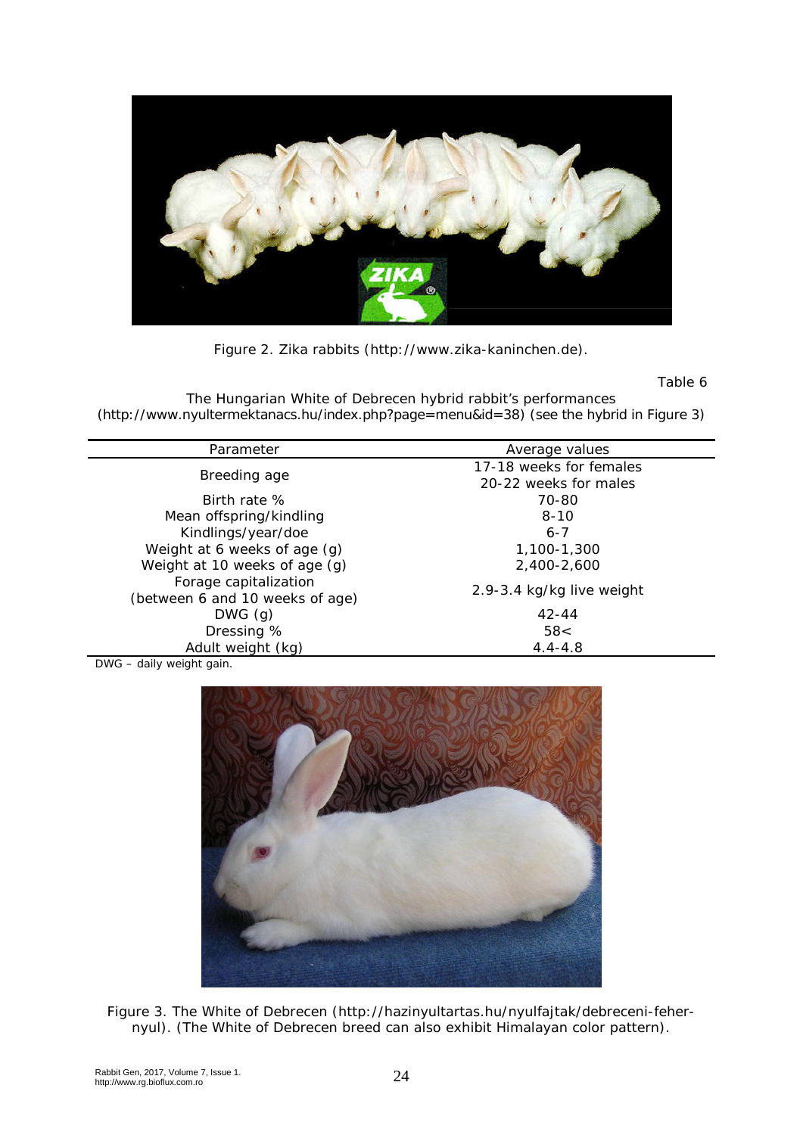

Figure 2. Zika rabbits (http://www.zika-kaninchen.de).

Table 6

The Hungarian White of Debrecen hybrid rabbit's performances [\(http://www.nyultermektanacs.hu/index.php?page=menu&id=38\)](http://www.nyultermektanacs.hu/index.php?page=menu&id=38) (see the hybrid in Figure 3)

| Parameter                       | Average values            |  |  |
|---------------------------------|---------------------------|--|--|
|                                 | 17-18 weeks for females   |  |  |
| Breeding age                    | 20-22 weeks for males     |  |  |
| Birth rate %                    | 70-80                     |  |  |
| Mean offspring/kindling         | $8 - 10$                  |  |  |
| Kindlings/year/doe              | $6 - 7$                   |  |  |
| Weight at 6 weeks of age (g)    | 1,100-1,300               |  |  |
| Weight at 10 weeks of age (g)   | 2,400-2,600               |  |  |
| Forage capitalization           | 2.9-3.4 kg/kg live weight |  |  |
| (between 6 and 10 weeks of age) |                           |  |  |
| DWG(q)                          | $42 - 44$                 |  |  |
| Dressing %                      | 58<                       |  |  |
| Adult weight (kg)               | $4.4 - 4.8$               |  |  |

DWG – daily weight gain.



Figure 3. The White of Debrecen [\(http://hazinyultartas.hu/nyulfajtak/debreceni-feher](http://hazinyultartas.hu/nyulfajtak/debreceni-feher-nyul)[nyul\)](http://hazinyultartas.hu/nyulfajtak/debreceni-feher-nyul). (The White of Debrecen breed can also exhibit Himalayan color pattern).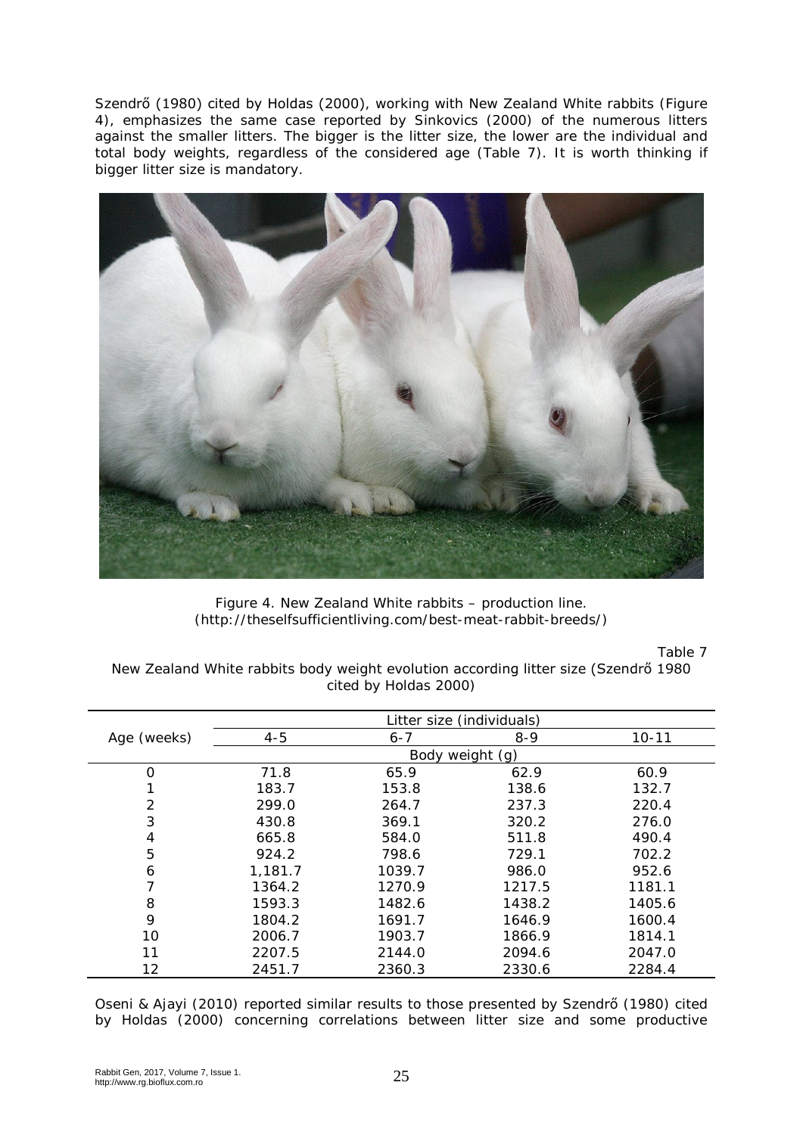Szendrő (1980) cited by Holdas (2000), working with New Zealand White rabbits (Figure 4), emphasizes the same case reported by Sinkovics (2000) of the numerous litters against the smaller litters. The bigger is the litter size, the lower are the individual and total body weights, regardless of the considered age (Table 7). It is worth thinking if bigger litter size is mandatory.



Figure 4. New Zealand White rabbits – production line. [\(http://theselfsufficientliving.com/best-meat-rabbit-breeds/\)](http://theselfsufficientliving.com/best-meat-rabbit-breeds/)

Table 7

New Zealand White rabbits body weight evolution according litter size (Szendrő 1980 cited by Holdas 2000)

|                | Litter size (individuals) |         |         |           |  |
|----------------|---------------------------|---------|---------|-----------|--|
| Age (weeks)    | $4 - 5$                   | $6 - 7$ | $8 - 9$ | $10 - 11$ |  |
|                | Body weight (g)           |         |         |           |  |
| O              | 71.8                      | 65.9    | 62.9    | 60.9      |  |
|                | 183.7                     | 153.8   | 138.6   | 132.7     |  |
| $\overline{2}$ | 299.0                     | 264.7   | 237.3   | 220.4     |  |
| 3              | 430.8                     | 369.1   | 320.2   | 276.0     |  |
| 4              | 665.8                     | 584.0   | 511.8   | 490.4     |  |
| 5              | 924.2                     | 798.6   | 729.1   | 702.2     |  |
| 6              | 1.181.7                   | 1039.7  | 986.0   | 952.6     |  |
|                | 1364.2                    | 1270.9  | 1217.5  | 1181.1    |  |
| 8              | 1593.3                    | 1482.6  | 1438.2  | 1405.6    |  |
| 9              | 1804.2                    | 1691.7  | 1646.9  | 1600.4    |  |
| 10             | 2006.7                    | 1903.7  | 1866.9  | 1814.1    |  |
| 11             | 2207.5                    | 2144.0  | 2094.6  | 2047.0    |  |
| 12             | 2451.7                    | 2360.3  | 2330.6  | 2284.4    |  |

Oseni & Ajayi (2010) reported similar results to those presented by Szendrő (1980) cited by Holdas (2000) concerning correlations between litter size and some productive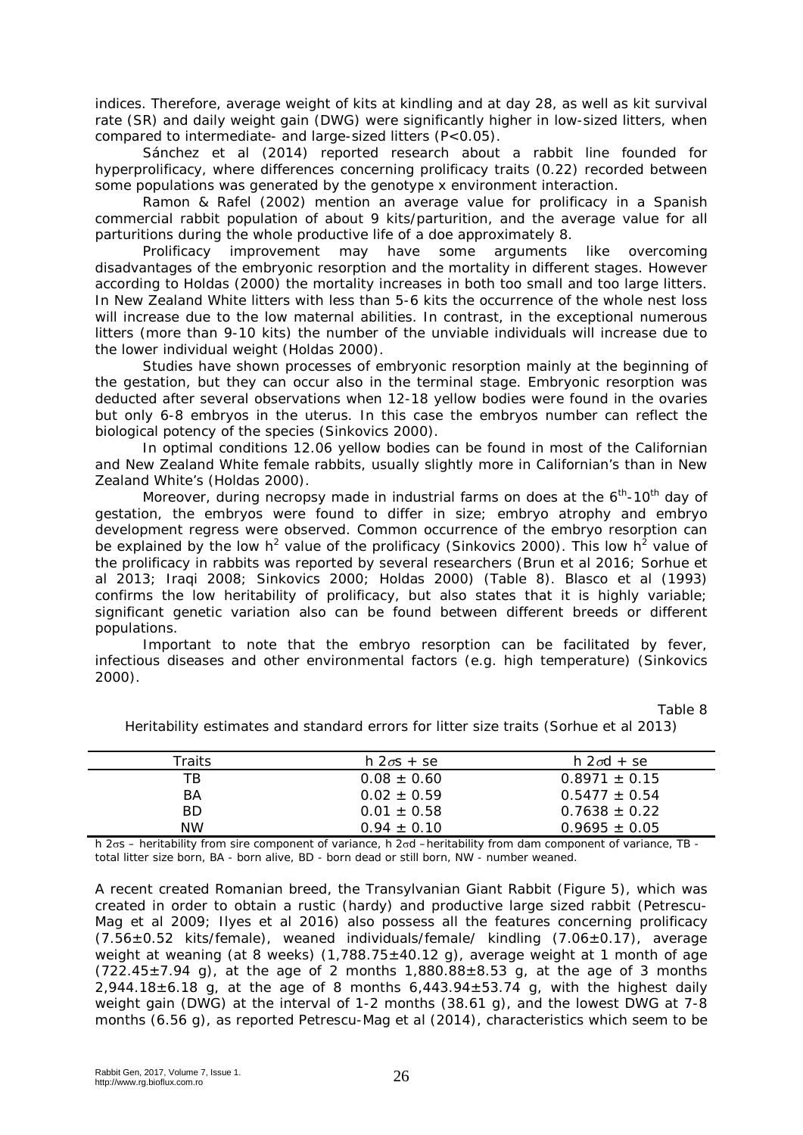indices. Therefore, average weight of kits at kindling and at day 28, as well as kit survival rate (SR) and daily weight gain (DWG) were significantly higher in low-sized litters, when compared to intermediate- and large-sized litters (P<0.05).

Sánchez et al (2014) reported research about a rabbit line founded for hyperprolificacy, where differences concerning prolificacy traits (0.22) recorded between some populations was generated by the genotype x environment interaction.

Ramon & Rafel (2002) mention an average value for prolificacy in a Spanish commercial rabbit population of about 9 kits/parturition, and the average value for all

parturitions during the whole productive life of a doe approximately 8.<br>Prolificacy improvement may have some arguments improvement may have some arguments like overcoming disadvantages of the embryonic resorption and the mortality in different stages. However according to Holdas (2000) the mortality increases in both too small and too large litters. In New Zealand White litters with less than 5-6 kits the occurrence of the whole nest loss will increase due to the low maternal abilities. In contrast, in the exceptional numerous litters (more than 9-10 kits) the number of the unviable individuals will increase due to the lower individual weight (Holdas 2000).

Studies have shown processes of embryonic resorption mainly at the beginning of the gestation, but they can occur also in the terminal stage. Embryonic resorption was deducted after several observations when 12-18 yellow bodies were found in the ovaries but only 6-8 embryos in the uterus. In this case the embryos number can reflect the biological potency of the species (Sinkovics 2000).

In optimal conditions 12.06 yellow bodies can be found in most of the Californian and New Zealand White female rabbits, usually slightly more in Californian's than in New Zealand White's (Holdas 2000).

Moreover, during necropsy made in industrial farms on does at the  $6<sup>th</sup>$ -10<sup>th</sup> day of gestation, the embryos were found to differ in size; embryo atrophy and embryo development regress were observed. Common occurrence of the embryo resorption can be explained by the low h<sup>2</sup> value of the prolificacy (Sinkovics 2000). This low h<sup>2</sup> value of the prolificacy in rabbits was reported by several researchers (Brun et al 2016; Sorhue et al 2013; Iraqi 2008; Sinkovics 2000; Holdas 2000) (Table 8). Blasco et al (1993) confirms the low heritability of prolificacy, but also states that it is highly variable; significant genetic variation also can be found between different breeds or different populations.

Important to note that the embryo resorption can be facilitated by fever, infectious diseases and other environmental factors (e.g. high temperature) (Sinkovics 2000).

Table 8

| Traits    | $h$ 2 $\sigma$ s + se | $h$ 2 $\sigma$ d + se |
|-----------|-----------------------|-----------------------|
| ТB        | $0.08 \pm 0.60$       | $0.8971 \pm 0.15$     |
| BA        | $0.02 \pm 0.59$       | $0.5477 \pm 0.54$     |
| BD.       | $0.01 \pm 0.58$       | $0.7638 \pm 0.22$     |
| <b>NW</b> | $0.94 + 0.10$         | $0.9695 \pm 0.05$     |
|           |                       |                       |

Heritability estimates and standard errors for litter size traits (Sorhue et al 2013)

h 2σs – heritability from sire component of variance, h 2σd –heritability from dam component of variance, TB total litter size born, BA - born alive, BD - born dead or still born, NW - number weaned.

A recent created Romanian breed, the Transylvanian Giant Rabbit (Figure 5), which was created in order to obtain a rustic (hardy) and productive large sized rabbit (Petrescu-Mag et al 2009; Ilyes et al 2016) also possess all the features concerning prolificacy (7.56±0.52 kits/female), weaned individuals/female/ kindling (7.06±0.17), average weight at weaning (at 8 weeks) (1,788.75±40.12 g), average weight at 1 month of age  $(722.45\pm7.94)$ , at the age of 2 months  $1,880.88\pm8.53$  g, at the age of 3 months  $2,944.18\pm6.18$  g, at the age of 8 months  $6,443.94\pm53.74$  g, with the highest daily weight gain (DWG) at the interval of 1-2 months (38.61 g), and the lowest DWG at 7-8 months (6.56 g), as reported Petrescu-Mag et al (2014), characteristics which seem to be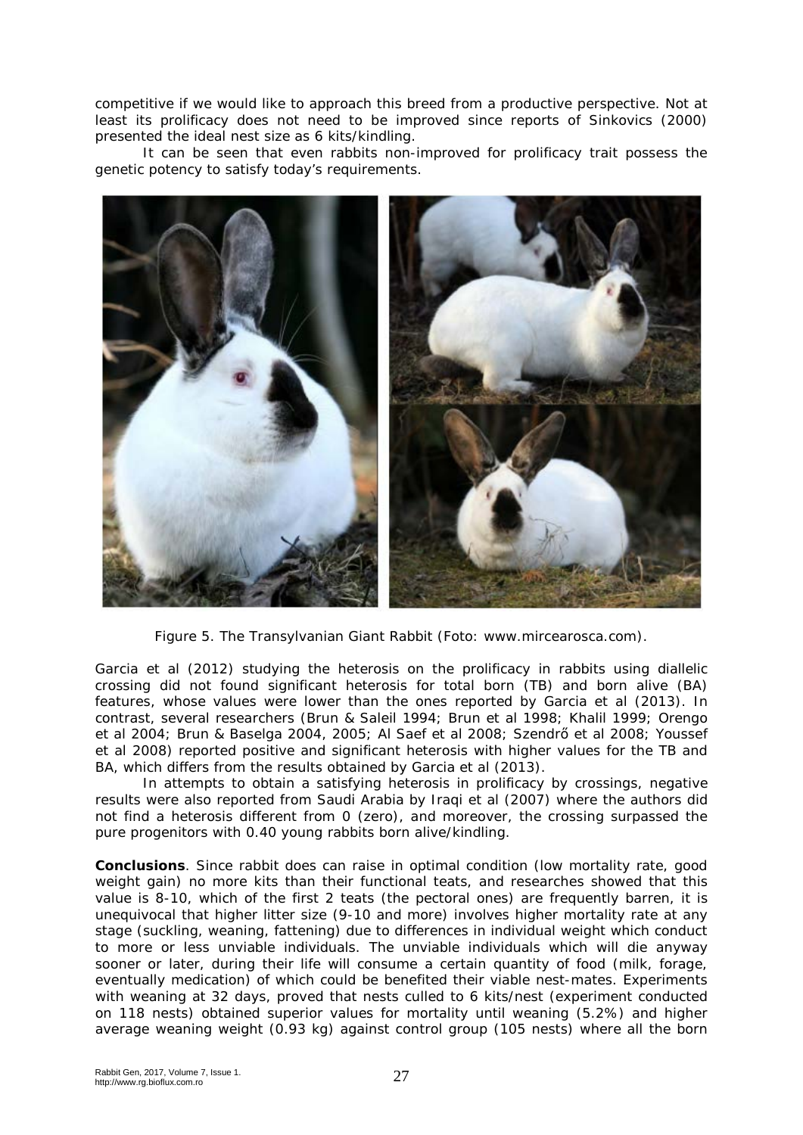competitive if we would like to approach this breed from a productive perspective. Not at least its prolificacy does not need to be improved since reports of Sinkovics (2000) presented the ideal nest size as 6 kits/kindling.

It can be seen that even rabbits non-improved for prolificacy trait possess the genetic potency to satisfy today's requirements.



Figure 5. The Transylvanian Giant Rabbit (Foto: [www.mircearosca.com\)](http://www.mircearosca.com/).

Garcia et al (2012) studying the heterosis on the prolificacy in rabbits using diallelic crossing did not found significant heterosis for total born (TB) and born alive (BA) features, whose values were lower than the ones reported by Garcia et al (2013). In contrast, several researchers (Brun & Saleil 1994; Brun et al 1998; Khalil 1999; Orengo et al 2004; Brun & Baselga 2004, 2005; Al Saef et al 2008; Szendrő et al 2008; Youssef et al 2008) reported positive and significant heterosis with higher values for the TB and BA, which differs from the results obtained by Garcia et al (2013).

In attempts to obtain a satisfying heterosis in prolificacy by crossings, negative results were also reported from Saudi Arabia by Iraqi et al (2007) where the authors did not find a heterosis different from 0 (zero), and moreover, the crossing surpassed the pure progenitors with 0.40 young rabbits born alive/kindling.

**Conclusions**. Since rabbit does can raise in optimal condition (low mortality rate, good weight gain) no more kits than their functional teats, and researches showed that this value is 8-10, which of the first 2 teats (the pectoral ones) are frequently barren, it is unequivocal that higher litter size (9-10 and more) involves higher mortality rate at any stage (suckling, weaning, fattening) due to differences in individual weight which conduct to more or less unviable individuals. The unviable individuals which will die anyway sooner or later, during their life will consume a certain quantity of food (milk, forage, eventually medication) of which could be benefited their viable nest-mates. Experiments with weaning at 32 days, proved that nests culled to 6 kits/nest (experiment conducted on 118 nests) obtained superior values for mortality until weaning (5.2%) and higher average weaning weight (0.93 kg) against control group (105 nests) where all the born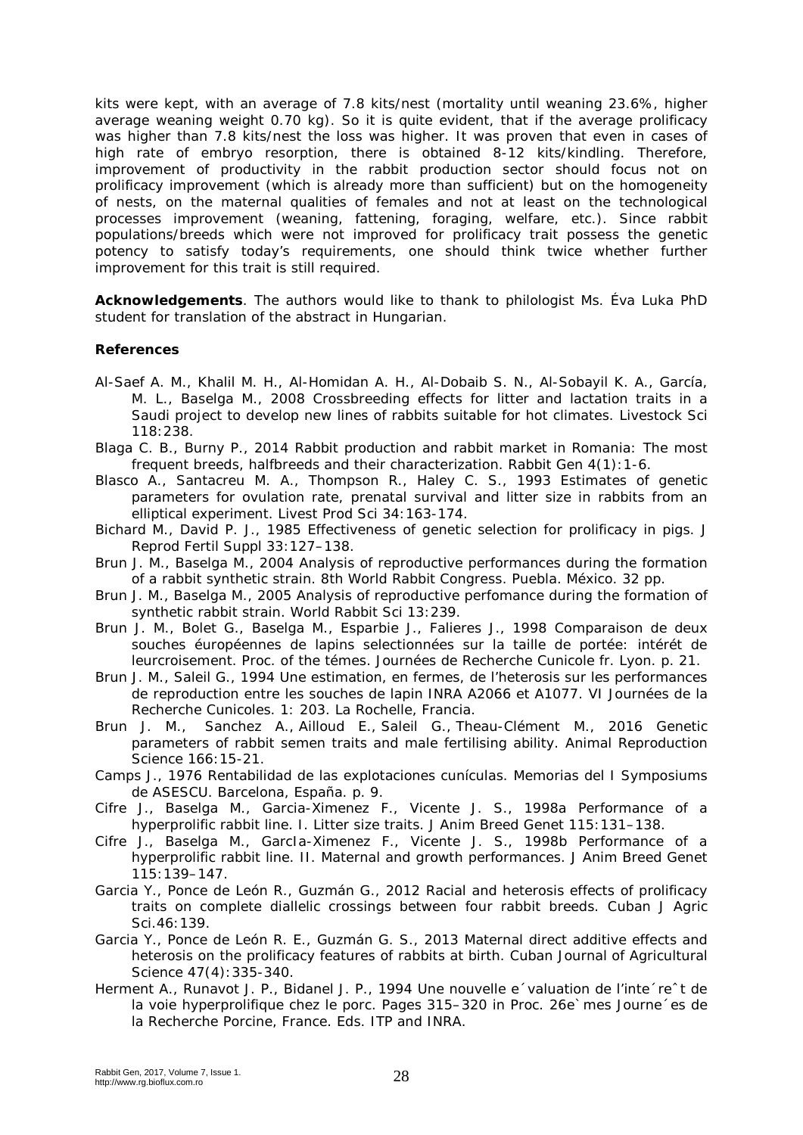kits were kept, with an average of 7.8 kits/nest (mortality until weaning 23.6%, higher average weaning weight 0.70 kg). So it is quite evident, that if the average prolificacy was higher than 7.8 kits/nest the loss was higher. It was proven that even in cases of high rate of embryo resorption, there is obtained 8-12 kits/kindling. Therefore, improvement of productivity in the rabbit production sector should focus not on prolificacy improvement (which is already more than sufficient) but on the homogeneity of nests, on the maternal qualities of females and not at least on the technological processes improvement (weaning, fattening, foraging, welfare, etc.). Since rabbit populations/breeds which were not improved for prolificacy trait possess the genetic potency to satisfy today's requirements, one should think twice whether further improvement for this trait is still required.

**Acknowledgements**. The authors would like to thank to philologist Ms. Éva Luka PhD student for translation of the abstract in Hungarian.

## **References**

- Al-Saef A. M., Khalil M. H., Al-Homidan A. H., Al-Dobaib S. N., Al-Sobayil K. A., García, M. L., Baselga M., 2008 Crossbreeding effects for litter and lactation traits in a Saudi project to develop new lines of rabbits suitable for hot climates. Livestock Sci 118:238.
- Blaga C. B., Burny P., 2014 Rabbit production and rabbit market in Romania: The most frequent breeds, halfbreeds and their characterization. Rabbit Gen 4(1):1-6.
- Blasco A., Santacreu M. A., Thompson R., Haley C. S., 1993 Estimates of genetic parameters for ovulation rate, prenatal survival and litter size in rabbits from an elliptical experiment. Livest Prod Sci 34:163-174.
- Bichard M., David P. J., 1985 Effectiveness of genetic selection for prolificacy in pigs. J Reprod Fertil Suppl 33:127–138.
- Brun J. M., Baselga M., 2004 Analysis of reproductive performances during the formation of a rabbit synthetic strain. 8th World Rabbit Congress. Puebla. México. 32 pp.
- Brun J. M., Baselga M., 2005 Analysis of reproductive perfomance during the formation of synthetic rabbit strain. World Rabbit Sci 13:239.
- Brun J. M., Bolet G., Baselga M., Esparbie J., Falieres J., 1998 Comparaison de deux souches éuropéennes de lapins selectionnées sur la taille de portée: intérét de leurcroisement. Proc. of the témes. Journées de Recherche Cunicole fr. Lyon. p. 21.
- Brun J. M., Saleil G., 1994 Une estimation, en fermes, de l'heterosis sur les performances de reproduction entre les souches de lapin INRA A2066 et A1077. VI Journées de la Recherche Cunicoles. 1: 203. La Rochelle, Francia.
- Brun J. M., [Sanchez A.](https://www.ncbi.nlm.nih.gov/pubmed/?term=Sanchez%20A%5BAuthor%5D&cauthor=true&cauthor_uid=26795101), [Ailloud E.](https://www.ncbi.nlm.nih.gov/pubmed/?term=Ailloud%20E%5BAuthor%5D&cauthor=true&cauthor_uid=26795101), [Saleil G.](https://www.ncbi.nlm.nih.gov/pubmed/?term=Saleil%20G%5BAuthor%5D&cauthor=true&cauthor_uid=26795101), [Theau-Clément M.](https://www.ncbi.nlm.nih.gov/pubmed/?term=Theau-Cl%C3%A9ment%20M%5BAuthor%5D&cauthor=true&cauthor_uid=26795101), 2016 Genetic parameters of rabbit semen traits and male fertilising ability. Animal Reproduction Science 166:15-21.
- Camps J., 1976 Rentabilidad de las explotaciones cunículas. Memorias del I Symposiums de ASESCU. Barcelona, España. p. 9.
- Cifre J., Baselga M., Garcia-Ximenez F., Vicente J. S., 1998a Performance of a hyperprolific rabbit line. I. Litter size traits. J Anim Breed Genet 115:131–138.
- Cifre J., Baselga M., GarcIa-Ximenez F., Vicente J. S., 1998b Performance of a hyperprolific rabbit line. II. Maternal and growth performances. J Anim Breed Genet 115:139–147.
- Garcia Y., Ponce de León R., Guzmán G., 2012 Racial and heterosis effects of prolificacy traits on complete diallelic crossings between four rabbit breeds. Cuban J Agric Sci.46:139.
- Garcia Y., Ponce de León R. E., Guzmán G. S., 2013 Maternal direct additive effects and heterosis on the prolificacy features of rabbits at birth. Cuban Journal of Agricultural Science 47(4):335-340.
- Herment A., Runavot J. P., Bidanel J. P., 1994 Une nouvelle e´valuation de l'inte´reˆt de la voie hyperprolifique chez le porc. Pages 315–320 in Proc. 26e`mes Journe´es de la Recherche Porcine, France. Eds. ITP and INRA.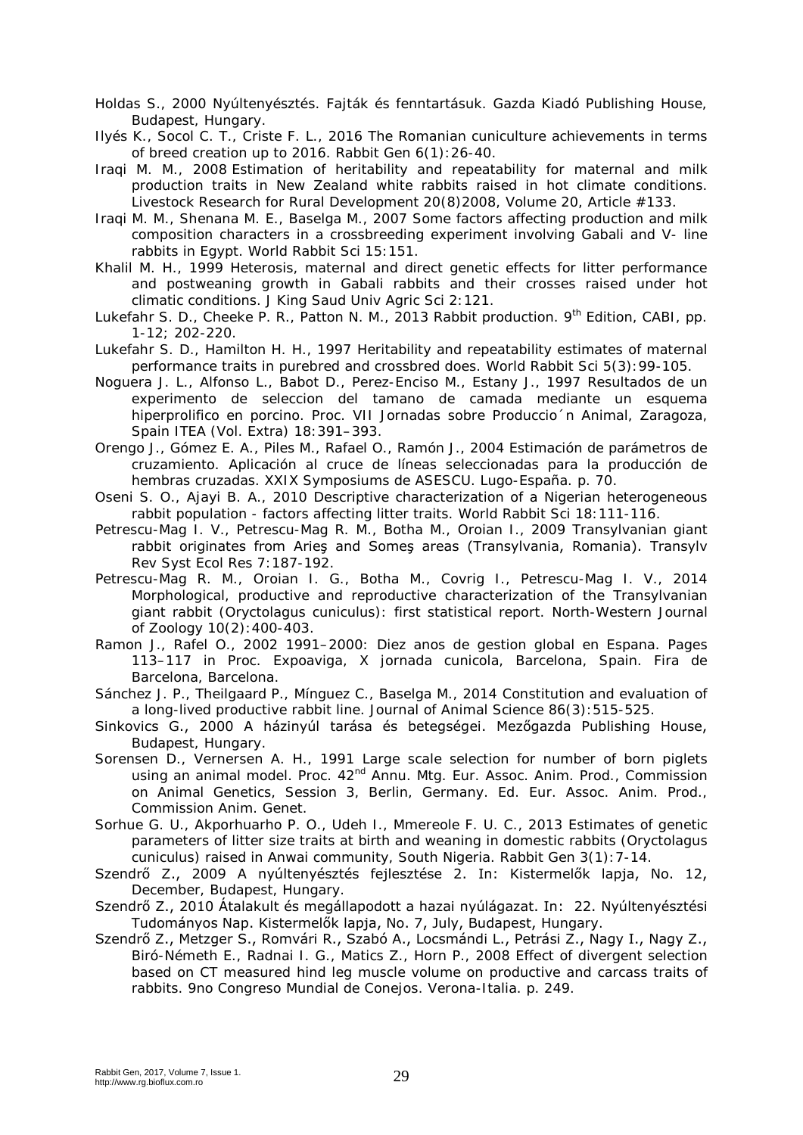- Holdas S., 2000 Nyúltenyésztés. Fajták és fenntartásuk. Gazda Kiadó Publishing House, Budapest, Hungary.
- Ilyés K., Socol C. T., Criste F. L., 2016 The Romanian cuniculture achievements in terms of breed creation up to 2016. Rabbit Gen 6(1):26-40.
- Iraqi M. M., 2008 Estimation of heritability and repeatability for maternal and milk production traits in New Zealand white rabbits raised in hot climate conditions. Livestock Research for Rural Development 20(8)2008, Volume 20, Article #133.
- Iraqi M. M., Shenana M. E., Baselga M., 2007 Some factors affecting production and milk composition characters in a crossbreeding experiment involving Gabali and V- line rabbits in Egypt. World Rabbit Sci 15:151.
- Khalil M. H., 1999 Heterosis, maternal and direct genetic effects for litter performance and postweaning growth in Gabali rabbits and their crosses raised under hot climatic conditions. J King Saud Univ Agric Sci 2:121.
- Lukefahr S. D., Cheeke P. R., Patton N. M., 2013 Rabbit production. 9<sup>th</sup> Edition, CABI, pp. 1-12; 202-220.
- Lukefahr S. D., Hamilton H. H., 1997 Heritability and repeatability estimates of maternal performance traits in purebred and crossbred does. World Rabbit Sci 5(3):99-105.
- Noguera J. L., Alfonso L., Babot D., Perez-Enciso M., Estany J., 1997 Resultados de un experimento de seleccion del tamano de camada mediante un esquema hiperprolifico en porcino. Proc. VII Jornadas sobre Produccio´n Animal, Zaragoza, Spain ITEA (Vol. Extra) 18:391–393.
- Orengo J., Gómez E. A., Piles M., Rafael O., Ramón J., 2004 Estimación de parámetros de cruzamiento. Aplicación al cruce de líneas seleccionadas para la producción de hembras cruzadas. XXIX Symposiums de ASESCU. Lugo-España. p. 70.
- Oseni S. O., Ajayi B. A., 2010 Descriptive characterization of a Nigerian heterogeneous rabbit population - factors affecting litter traits. World Rabbit Sci 18:111-116.
- Petrescu-Mag I. V., Petrescu-Mag R. M., Botha M., Oroian I., 2009 Transylvanian giant rabbit originates from Arieş and Someş areas (Transylvania, Romania). Transylv Rev Syst Ecol Res 7:187-192.
- Petrescu-Mag R. M., Oroian I. G., Botha M., Covrig I., Petrescu-Mag I. V., 2014 Morphological, productive and reproductive characterization of the Transylvanian giant rabbit (*Oryctolagus cuniculus*): first statistical report. North-Western Journal of Zoology 10(2):400-403.
- Ramon J., Rafel O., 2002 1991–2000: Diez anos de gestion global en Espana. Pages 113–117 in Proc. Expoaviga, X jornada cunicola, Barcelona, Spain. Fira de Barcelona, Barcelona.
- Sánchez J. P., Theilgaard P., Mínguez C., Baselga M., 2014 Constitution and evaluation of a long-lived productive rabbit line. Journal of Animal Science 86(3):515-525.
- Sinkovics G., 2000 A házinyúl tarása és betegségei. Mezőgazda Publishing House, Budapest, Hungary.
- Sorensen D., Vernersen A. H., 1991 Large scale selection for number of born piglets using an animal model. Proc. 42<sup>nd</sup> Annu. Mtg. Eur. Assoc. Anim. Prod., Commission on Animal Genetics, Session 3, Berlin, Germany. Ed. Eur. Assoc. Anim. Prod., Commission Anim. Genet.
- Sorhue G. U., Akporhuarho P. O., Udeh I., Mmereole F. U. C., 2013 Estimates of genetic parameters of litter size traits at birth and weaning in domestic rabbits (Oryctolagus cuniculus) raised in Anwai community, South Nigeria. Rabbit Gen 3(1):7-14.
- Szendrő Z., 2009 A nyúltenyésztés fejlesztése 2. In: Kistermelők lapja, No. 12, December, Budapest, Hungary.
- Szendrő Z., 2010 Átalakult és megállapodott a hazai nyúlágazat. In: 22. Nyúltenyésztési Tudományos Nap. Kistermelők lapja, No. 7, July, Budapest, Hungary.
- Szendrő Z., Metzger S., Romvári R., Szabó A., Locsmándi L., Petrási Z., Nagy I., Nagy Z., Biró-Németh E., Radnai I. G., Matics Z., Horn P., 2008 Effect of divergent selection based on CT measured hind leg muscle volume on productive and carcass traits of rabbits. 9no Congreso Mundial de Conejos. Verona-Italia. p. 249.